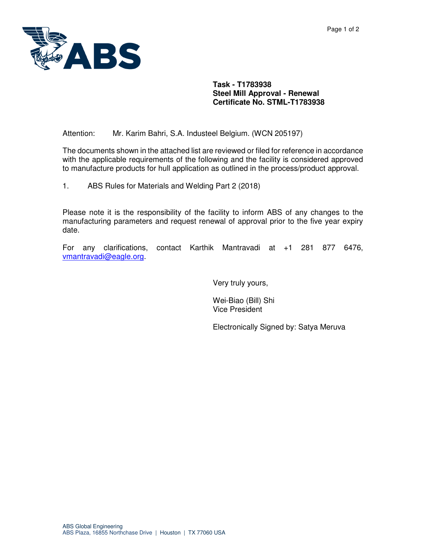

## **Task - T1783938 Steel Mill Approval - Renewal Certificate No. STML-T1783938**

Attention: Mr. Karim Bahri, S.A. Industeel Belgium. (WCN 205197)

The documents shown in the attached list are reviewed or filed for reference in accordance with the applicable requirements of the following and the facility is considered approved to manufacture products for hull application as outlined in the process/product approval.

1. ABS Rules for Materials and Welding Part 2 (2018)

Please note it is the responsibility of the facility to inform ABS of any changes to the manufacturing parameters and request renewal of approval prior to the five year expiry date.

For any clarifications, contact Karthik Mantravadi at +1 281 877 6476, vmantravadi@eagle.org.

Very truly yours,

Wei-Biao (Bill) Shi Vice President

Electronically Signed by: Satya Meruva